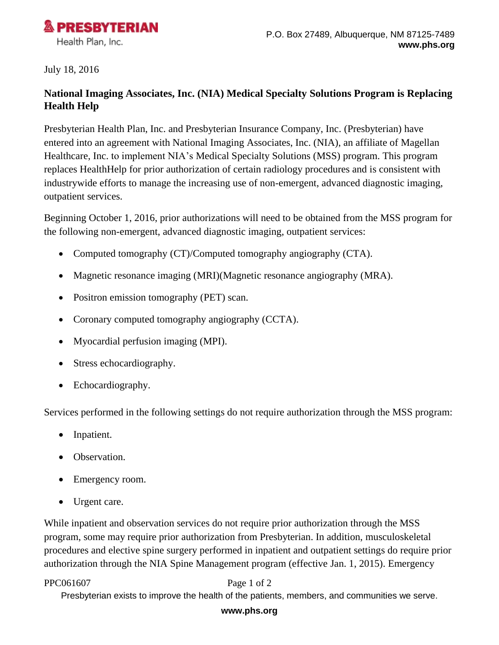

## July 18, 2016

# **National Imaging Associates, Inc. (NIA) Medical Specialty Solutions Program is Replacing Health Help**

Presbyterian Health Plan, Inc. and Presbyterian Insurance Company, Inc. (Presbyterian) have entered into an agreement with National Imaging Associates, Inc. (NIA), an affiliate of Magellan Healthcare, Inc. to implement NIA's Medical Specialty Solutions (MSS) program. This program replaces HealthHelp for prior authorization of certain radiology procedures and is consistent with industrywide efforts to manage the increasing use of non-emergent, advanced diagnostic imaging, outpatient services.

Beginning October 1, 2016, prior authorizations will need to be obtained from the MSS program for the following non-emergent, advanced diagnostic imaging, outpatient services:

- Computed tomography (CT)/Computed tomography angiography (CTA).
- Magnetic resonance imaging (MRI)(Magnetic resonance angiography (MRA).
- Positron emission tomography (PET) scan.
- Coronary computed tomography angiography (CCTA).
- Myocardial perfusion imaging (MPI).
- Stress echocardiography.
- Echocardiography.

Services performed in the following settings do not require authorization through the MSS program:

- Inpatient.
- Observation.
- Emergency room.
- Urgent care.

While inpatient and observation services do not require prior authorization through the MSS program, some may require prior authorization from Presbyterian. In addition, musculoskeletal procedures and elective spine surgery performed in inpatient and outpatient settings do require prior authorization through the NIA Spine Management program (effective Jan. 1, 2015). Emergency

### PPC061607 Page 1 of 2

Presbyterian exists to improve the health of the patients, members, and communities we serve.

### **www.phs.org**